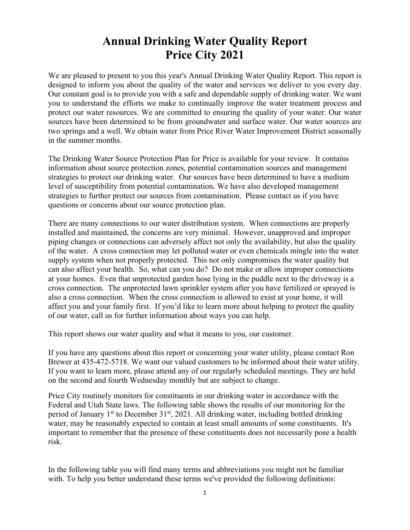# **Annual Drinking Water Quality Report Price City 2021**

We are pleased to present to you this year's Annual Drinking Water Quality Report. This report is designed to inform you about the quality of the water and services we deliver to you every day. Our constant goal is to provide you with a safe and dependable supply of drinking water. We want you to understand the efforts we make to continually improve the water treatment process and protect our water resources. We are committed to ensuring the quality of your water. Our water sources have been determined to be from groundwater and surface water. Our water sources are two springs and a well. We obtain water from Price River Water Improvement District seasonally in the summer months.

The Drinking Water Source Protection Plan for Price is available for your review. It contains information about source protection zones, potential contamination sources and management strategies to protect our drinking water. Our sources have been determined to have a medium level of susceptibility from potential contamination*.* We have also developed management strategies to further protect our sources from contamination. Please contact us if you have questions or concerns about our source protection plan.

There are many connections to our water distribution system. When connections are properly installed and maintained, the concerns are very minimal. However, unapproved and improper piping changes or connections can adversely affect not only the availability, but also the quality of the water. A cross connection may let polluted water or even chemicals mingle into the water supply system when not properly protected. This not only compromises the water quality but can also affect your health. So, what can you do? Do not make or allow improper connections at your homes. Even that unprotected garden hose lying in the puddle next to the driveway is a cross connection. The unprotected lawn sprinkler system after you have fertilized or sprayed is also a cross connection. When the cross connection is allowed to exist at your home, it will affect you and your family first. If you'd like to learn more about helping to protect the quality of our water, call us for further information about ways you can help.

This report shows our water quality and what it means to you, our customer.

If you have any questions about this report or concerning your water utility, please contact Ron Brewer at 435-472-5718. We want our valued customers to be informed about their water utility. If you want to learn more, please attend any of our regularly scheduled meetings. They are held on the second and fourth Wednesday monthly but are subject to change.

Price City routinely monitors for constituents in our drinking water in accordance with the Federal and Utah State laws. The following table shows the results of our monitoring for the period of January  $1<sup>st</sup>$  to December  $31<sup>st</sup>$ , 2021. All drinking water, including bottled drinking water, may be reasonably expected to contain at least small amounts of some constituents. It's important to remember that the presence of these constituents does not necessarily pose a health risk.

In the following table you will find many terms and abbreviations you might not be familiar with. To help you better understand these terms we've provided the following definitions: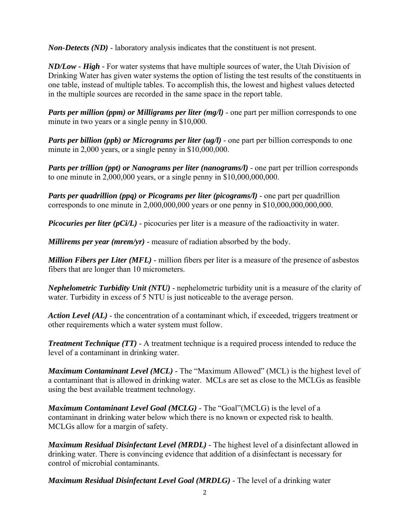*Non-Detects (ND)* - laboratory analysis indicates that the constituent is not present.

*ND/Low - High -* For water systems that have multiple sources of water, the Utah Division of Drinking Water has given water systems the option of listing the test results of the constituents in one table, instead of multiple tables. To accomplish this, the lowest and highest values detected in the multiple sources are recorded in the same space in the report table.

*Parts per million (ppm) or Milligrams per liter (mg/l)* - one part per million corresponds to one minute in two years or a single penny in \$10,000.

*Parts per billion (ppb) or Micrograms per liter (ug/l)* - one part per billion corresponds to one minute in 2,000 years, or a single penny in \$10,000,000.

*Parts per trillion (ppt) or Nanograms per liter (nanograms/l)* - one part per trillion corresponds to one minute in  $2,000,000$  years, or a single penny in  $$10,000,000,000$ .

*Parts per quadrillion (ppq) or Picograms per liter (picograms/l)* - one part per quadrillion corresponds to one minute in 2,000,000,000 years or one penny in \$10,000,000,000,000.

*Picocuries per liter (pCi/L)* - picocuries per liter is a measure of the radioactivity in water.

*Millirems per year (mrem/yr)* - measure of radiation absorbed by the body.

*Million Fibers per Liter (MFL)* - million fibers per liter is a measure of the presence of asbestos fibers that are longer than 10 micrometers.

*Nephelometric Turbidity Unit (NTU)* - nephelometric turbidity unit is a measure of the clarity of water. Turbidity in excess of 5 NTU is just noticeable to the average person.

*Action Level (AL)* - the concentration of a contaminant which, if exceeded, triggers treatment or other requirements which a water system must follow.

*Treatment Technique (TT)* - A treatment technique is a required process intended to reduce the level of a contaminant in drinking water.

*Maximum Contaminant Level (MCL)* - The "Maximum Allowed" (MCL) is the highest level of a contaminant that is allowed in drinking water. MCLs are set as close to the MCLGs as feasible using the best available treatment technology.

*Maximum Contaminant Level Goal (MCLG)* - The "Goal"(MCLG) is the level of a contaminant in drinking water below which there is no known or expected risk to health. MCLGs allow for a margin of safety.

*Maximum Residual Disinfectant Level (MRDL)* - The highest level of a disinfectant allowed in drinking water. There is convincing evidence that addition of a disinfectant is necessary for control of microbial contaminants. 

*Maximum Residual Disinfectant Level Goal (MRDLG)* - The level of a drinking water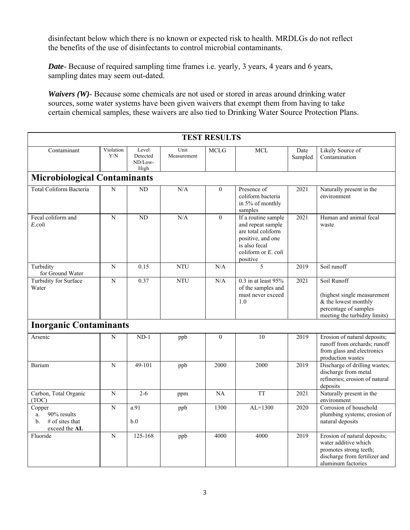disinfectant below which there is no known or expected risk to health. MRDLGs do not reflect the benefits of the use of disinfectants to control microbial contaminants.

*Date*- Because of required sampling time frames i.e. yearly, 3 years, 4 years and 6 years, sampling dates may seem out-dated.

*Waivers (W)*- Because some chemicals are not used or stored in areas around drinking water sources, some water systems have been given waivers that exempt them from having to take certain chemical samples, these waivers are also tied to Drinking Water Source Protection Plans.

| <b>TEST RESULTS</b>                                                     |                  |                                      |                     |              |                                                                                                                                         |                   |                                                                                                                                       |  |  |
|-------------------------------------------------------------------------|------------------|--------------------------------------|---------------------|--------------|-----------------------------------------------------------------------------------------------------------------------------------------|-------------------|---------------------------------------------------------------------------------------------------------------------------------------|--|--|
| Contaminant                                                             | Violation<br>Y/N | Level<br>Detected<br>ND/Low-<br>High | Unit<br>Measurement | <b>MCLG</b>  | <b>MCL</b>                                                                                                                              | Date<br>Sampled   | Likely Source of<br>Contamination                                                                                                     |  |  |
| <b>Microbiological Contaminants</b>                                     |                  |                                      |                     |              |                                                                                                                                         |                   |                                                                                                                                       |  |  |
| Total Coliform Bacteria                                                 | N                | N <sub>D</sub>                       | N/A                 | $\theta$     | Presence of<br>coliform bacteria<br>in 5% of monthly<br>samples                                                                         | 2021              | Naturally present in the<br>environment                                                                                               |  |  |
| Fecal coliform and<br>E.coli                                            | $\overline{N}$   | $\overline{ND}$                      | N/A                 | $\theta$     | If a routine sample<br>and repeat sample<br>are total coliform<br>positive, and one<br>is also fecal<br>coliform or E. coli<br>positive | 2021              | Human and animal fecal<br>waste                                                                                                       |  |  |
| Turbidity<br>for Ground Water                                           | N                | 0.15                                 | <b>NTU</b>          | N/A          | 5                                                                                                                                       | 2019              | Soil runoff                                                                                                                           |  |  |
| Turbidity for Surface<br>Water                                          | N                | 0.37                                 | <b>NTU</b>          | N/A          | $0.3$ in at least $95%$<br>of the samples and<br>must never exceed<br>1.0                                                               | 2021              | Soil Runoff<br>(highest single measurement<br>& the lowest monthly<br>percentage of samples<br>meeting the turbidity limits)          |  |  |
| <b>Inorganic Contaminants</b>                                           |                  |                                      |                     |              |                                                                                                                                         |                   |                                                                                                                                       |  |  |
| Arsenic                                                                 | N                | $ND-1$                               | ppb                 | $\mathbf{0}$ | 10                                                                                                                                      | 2019              | Erosion of natural deposits;<br>runoff from orchards; runoff<br>from glass and electronics<br>production wastes                       |  |  |
| Barium                                                                  | ${\bf N}$        | $49 - 101$                           | ppb                 | 2000         | 2000                                                                                                                                    | 2019              | Discharge of drilling wastes;<br>discharge from metal<br>refineries; erosion of natural<br>deposits                                   |  |  |
| Carbon, Total Organic<br>(TOC)                                          | N                | $2 - 6$                              | ppm                 | NA           | <b>TT</b>                                                                                                                               | 2021              | Naturally present in the<br>environment                                                                                               |  |  |
| Copper<br>90% results<br>a.<br>$#$ of sites that<br>b.<br>exceed the AL | $\overline{N}$   | a.91<br>b.0                          | ppb                 | 1300         | $AL=1300$                                                                                                                               | $\overline{2020}$ | Corrosion of household<br>plumbing systems; erosion of<br>natural deposits                                                            |  |  |
| Fluoride                                                                | $\overline{N}$   | 125-168                              | ppb                 | 4000         | 4000                                                                                                                                    | 2019              | Erosion of natural deposits;<br>water additive which<br>promotes strong teeth;<br>discharge from fertilizer and<br>aluminum factories |  |  |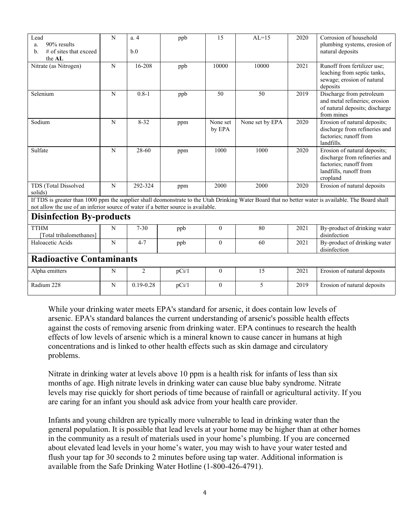| Lead<br>90% results<br>a.<br>$#$ of sites that exceed<br>b.<br>the AL                                                                                                                                                                    | N           | a.4<br>b.0    | ppb   | 15                 | $AL=15$         | 2020 | Corrosion of household<br>plumbing systems, erosion of<br>natural deposits                                                    |  |  |  |  |
|------------------------------------------------------------------------------------------------------------------------------------------------------------------------------------------------------------------------------------------|-------------|---------------|-------|--------------------|-----------------|------|-------------------------------------------------------------------------------------------------------------------------------|--|--|--|--|
| Nitrate (as Nitrogen)                                                                                                                                                                                                                    | N           | 16-208        | ppb   | 10000              | 10000           | 2021 | Runoff from fertilizer use;<br>leaching from septic tanks,<br>sewage; erosion of natural<br>deposits                          |  |  |  |  |
| Selenium                                                                                                                                                                                                                                 | N           | $0.8 - 1$     | ppb   | 50                 | 50              | 2019 | Discharge from petroleum<br>and metal refineries; erosion<br>of natural deposits; discharge<br>from mines                     |  |  |  |  |
| Sodium                                                                                                                                                                                                                                   | ${\bf N}$   | $8 - 32$      | ppm   | None set<br>by EPA | None set by EPA | 2020 | Erosion of natural deposits;<br>discharge from refineries and<br>factories; runoff from<br>landfills.                         |  |  |  |  |
| Sulfate                                                                                                                                                                                                                                  | $\mathbf N$ | 28-60         | ppm   | 1000               | 1000            | 2020 | Erosion of natural deposits;<br>discharge from refineries and<br>factories; runoff from<br>landfills, runoff from<br>cropland |  |  |  |  |
| TDS (Total Dissolved<br>solids)                                                                                                                                                                                                          | $\mathbf N$ | 292-324       | ppm   | 2000               | 2000            | 2020 | Erosion of natural deposits                                                                                                   |  |  |  |  |
| If TDS is greater than 1000 ppm the supplier shall deomonstrate to the Utah Drinking Water Board that no better water is available. The Board shall<br>not allow the use of an inferior source of water if a better source is available. |             |               |       |                    |                 |      |                                                                                                                               |  |  |  |  |
| <b>Disinfection By-products</b>                                                                                                                                                                                                          |             |               |       |                    |                 |      |                                                                                                                               |  |  |  |  |
| <b>TTHM</b><br>[Total trihalomethanes]                                                                                                                                                                                                   | N           | $7 - 30$      | ppb   | $\mathbf{0}$       | 80              | 2021 | By-product of drinking water<br>disinfection                                                                                  |  |  |  |  |
| Haloacetic Acids                                                                                                                                                                                                                         | $\mathbf N$ | $4 - 7$       | ppb   | $\mathbf{0}$       | 60              | 2021 | By-product of drinking water<br>disinfection                                                                                  |  |  |  |  |
| <b>Radioactive Contaminants</b>                                                                                                                                                                                                          |             |               |       |                    |                 |      |                                                                                                                               |  |  |  |  |
| Alpha emitters                                                                                                                                                                                                                           | N           | 2             | pCi/1 | $\mathbf{0}$       | 15              | 2021 | Erosion of natural deposits                                                                                                   |  |  |  |  |
| Radium 228                                                                                                                                                                                                                               | $\mathbf N$ | $0.19 - 0.28$ | pCi/1 | $\mathbf{0}$       | 5               | 2019 | Erosion of natural deposits                                                                                                   |  |  |  |  |

While your drinking water meets EPA's standard for arsenic, it does contain low levels of arsenic. EPA's standard balances the current understanding of arsenic's possible health effects against the costs of removing arsenic from drinking water. EPA continues to research the health effects of low levels of arsenic which is a mineral known to cause cancer in humans at high concentrations and is linked to other health effects such as skin damage and circulatory problems.

Nitrate in drinking water at levels above 10 ppm is a health risk for infants of less than six months of age. High nitrate levels in drinking water can cause blue baby syndrome. Nitrate levels may rise quickly for short periods of time because of rainfall or agricultural activity. If you are caring for an infant you should ask advice from your health care provider.

Infants and young children are typically more vulnerable to lead in drinking water than the general population. It is possible that lead levels at your home may be higher than at other homes in the community as a result of materials used in your home's plumbing. If you are concerned about elevated lead levels in your home's water, you may wish to have your water tested and flush your tap for 30 seconds to 2 minutes before using tap water. Additional information is available from the Safe Drinking Water Hotline (1-800-426-4791).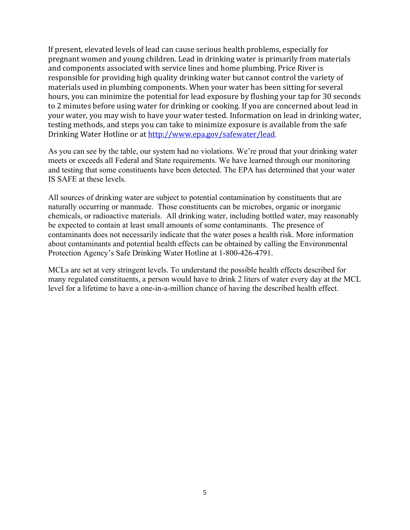If present, elevated levels of lead can cause serious health problems, especially for pregnant women and young children. Lead in drinking water is primarily from materials and components associated with service lines and home plumbing. Price River is responsible for providing high quality drinking water but cannot control the variety of materials used in plumbing components. When your water has been sitting for several hours, you can minimize the potential for lead exposure by flushing your tap for 30 seconds to 2 minutes before using water for drinking or cooking. If you are concerned about lead in your water, you may wish to have your water tested. Information on lead in drinking water, testing methods, and steps you can take to minimize exposure is available from the safe Drinking Water Hotline or at http://www.epa.gov/safewater/lead.

As you can see by the table, our system had no violations. We're proud that your drinking water meets or exceeds all Federal and State requirements. We have learned through our monitoring and testing that some constituents have been detected. The EPA has determined that your water IS SAFE at these levels.

All sources of drinking water are subject to potential contamination by constituents that are naturally occurring or manmade. Those constituents can be microbes, organic or inorganic chemicals, or radioactive materials. All drinking water, including bottled water, may reasonably be expected to contain at least small amounts of some contaminants. The presence of contaminants does not necessarily indicate that the water poses a health risk. More information about contaminants and potential health effects can be obtained by calling the Environmental Protection Agency's Safe Drinking Water Hotline at 1-800-426-4791.

MCLs are set at very stringent levels. To understand the possible health effects described for many regulated constituents, a person would have to drink 2 liters of water every day at the MCL level for a lifetime to have a one-in-a-million chance of having the described health effect.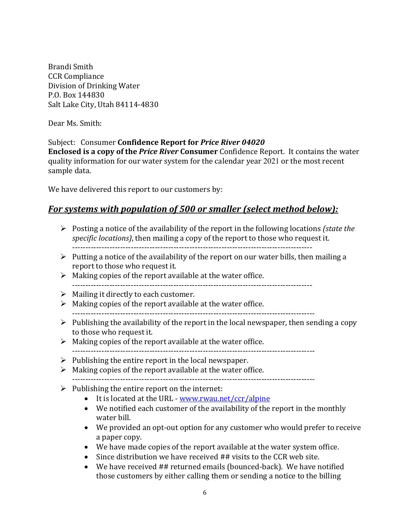Brandi Smith CCR Compliance Division of Drinking Water P.O. Box 144830 Salt Lake City, Utah 84114-4830

Dear Ms. Smith:

#### Subject: Consumer **Confidence Report for** *Price River 04020*

**Enclosed** is a copy of the *Price River* Consumer Confidence Report. It contains the water quality information for our water system for the calendar year 2021 or the most recent sample data.

We have delivered this report to our customers by:

#### *For systems with population of 500 or smaller (select method below):*

- **►** Posting a notice of the availability of the report in the following locations *(state the specific locations*), then mailing a copy of the report to those who request it. ‐‐‐‐‐‐‐‐‐‐‐‐‐‐‐‐‐‐‐‐‐‐‐‐‐‐‐‐‐‐‐‐‐‐‐‐‐‐‐‐‐‐‐‐‐‐‐‐‐‐‐‐‐‐‐‐‐‐‐‐‐‐‐‐‐‐‐‐‐‐‐‐‐‐‐‐‐‐‐‐‐‐‐‐‐‐‐‐‐‐
- $\triangleright$  Putting a notice of the availability of the report on our water bills, then mailing a report to those who request it.
- $\triangleright$  Making copies of the report available at the water office. ‐‐‐‐‐‐‐‐‐‐‐‐‐‐‐‐‐‐‐‐‐‐‐‐‐‐‐‐‐‐‐‐‐‐‐‐‐‐‐‐‐‐‐‐‐‐‐‐‐‐‐‐‐‐‐‐‐‐‐‐‐‐‐‐‐‐‐‐‐‐‐‐‐‐‐‐‐‐‐‐‐‐‐‐‐‐‐‐‐‐
- $\triangleright$  Mailing it directly to each customer.
- $\triangleright$  Making copies of the report available at the water office. ‐‐‐‐‐‐‐‐‐‐‐‐‐‐‐‐‐‐‐‐‐‐‐‐‐‐‐‐‐‐‐‐‐‐‐‐‐‐‐‐‐‐‐‐‐‐‐‐‐‐‐‐‐‐‐‐‐‐‐‐‐‐‐‐‐‐‐‐‐‐‐‐‐‐‐‐‐‐‐‐‐‐‐‐‐‐‐‐‐‐‐
- $\triangleright$  Publishing the availability of the report in the local newspaper, then sending a copy to those who request it.
- $\triangleright$  Making copies of the report available at the water office. ‐‐‐‐‐‐‐‐‐‐‐‐‐‐‐‐‐‐‐‐‐‐‐‐‐‐‐‐‐‐‐‐‐‐‐‐‐‐‐‐‐‐‐‐‐‐‐‐‐‐‐‐‐‐‐‐‐‐‐‐‐‐‐‐‐‐‐‐‐‐‐‐‐‐‐‐‐‐‐‐‐‐‐‐‐‐‐‐‐‐‐
- $\triangleright$  Publishing the entire report in the local newspaper.
- $\triangleright$  Making copies of the report available at the water office. ‐‐‐‐‐‐‐‐‐‐‐‐‐‐‐‐‐‐‐‐‐‐‐‐‐‐‐‐‐‐‐‐‐‐‐‐‐‐‐‐‐‐‐‐‐‐‐‐‐‐‐‐‐‐‐‐‐‐‐‐‐‐‐‐‐‐‐‐‐‐‐‐‐‐‐‐‐‐‐‐‐‐‐‐‐‐‐‐‐‐‐
- $\triangleright$  Publishing the entire report on the internet:
	- $\bullet$  It is located at the URL www.rwau.net/ccr/alpine
	- We notified each customer of the availability of the report in the monthly water bill.
	- We provided an opt-out option for any customer who would prefer to receive a paper copy.
	- We have made copies of the report available at the water system office.
	- $\bullet$  Since distribution we have received ## visits to the CCR web site.
	- We have received ## returned emails (bounced-back). We have notified those customers by either calling them or sending a notice to the billing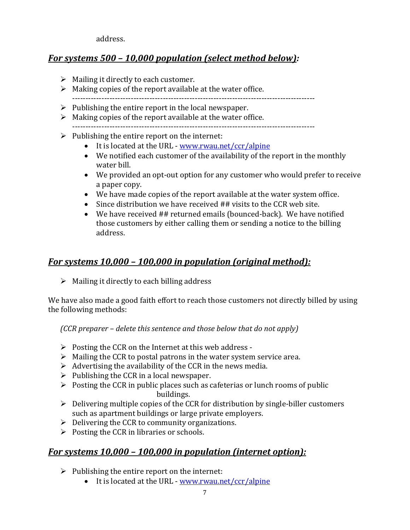address. 

### *For systems 500 – 10,000 population (select method below):*

- $\triangleright$  Mailing it directly to each customer.
- $\triangleright$  Making copies of the report available at the water office.
- ‐‐‐‐‐‐‐‐‐‐‐‐‐‐‐‐‐‐‐‐‐‐‐‐‐‐‐‐‐‐‐‐‐‐‐‐‐‐‐‐‐‐‐‐‐‐‐‐‐‐‐‐‐‐‐‐‐‐‐‐‐‐‐‐‐‐‐‐‐‐‐‐‐‐‐‐‐‐‐‐‐‐‐‐‐‐‐‐‐‐‐  $\triangleright$  Publishing the entire report in the local newspaper.
- $\triangleright$  Making copies of the report available at the water office. ‐‐‐‐‐‐‐‐‐‐‐‐‐‐‐‐‐‐‐‐‐‐‐‐‐‐‐‐‐‐‐‐‐‐‐‐‐‐‐‐‐‐‐‐‐‐‐‐‐‐‐‐‐‐‐‐‐‐‐‐‐‐‐‐‐‐‐‐‐‐‐‐‐‐‐‐‐‐‐‐‐‐‐‐‐‐‐‐‐‐‐
- $\triangleright$  Publishing the entire report on the internet:
	- $\bullet$  It is located at the URL www.rwau.net/ccr/alpine
	- $\bullet$  We notified each customer of the availability of the report in the monthly water bill.
	- We provided an opt-out option for any customer who would prefer to receive a paper copy.
	- We have made copies of the report available at the water system office.
	- $\bullet$  Since distribution we have received ## visits to the CCR web site.
	- We have received  $##$  returned emails (bounced-back). We have notified those customers by either calling them or sending a notice to the billing address.

## *For systems 10,000 – 100,000 in population (original method):*

 $\triangleright$  Mailing it directly to each billing address

We have also made a good faith effort to reach those customers not directly billed by using the following methods:

*(CCR preparer – delete this sentence and those below that do not apply)*

- $\triangleright$  Posting the CCR on the Internet at this web address -
- $\triangleright$  Mailing the CCR to postal patrons in the water system service area.
- $\triangleright$  Advertising the availability of the CCR in the news media.
- $\triangleright$  Publishing the CCR in a local newspaper.
- $\triangleright$  Posting the CCR in public places such as cafeterias or lunch rooms of public buildings.
- $\triangleright$  Delivering multiple copies of the CCR for distribution by single-biller customers such as apartment buildings or large private employers.
- $\triangleright$  Delivering the CCR to community organizations.
- $\triangleright$  Posting the CCR in libraries or schools.

#### *For systems 10,000 – 100,000 in population (internet option):*

- $\triangleright$  Publishing the entire report on the internet:
	- It is located at the URL www.rwau.net/ccr/alpine